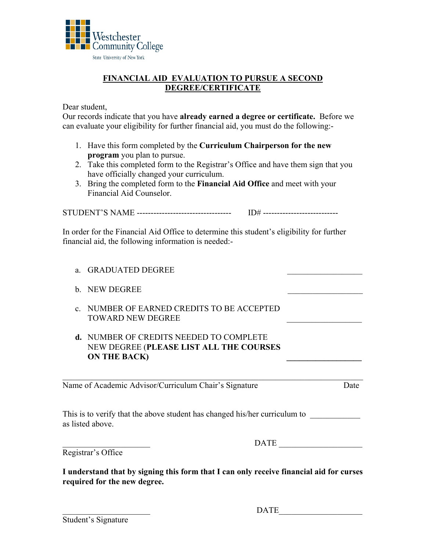

## **FINANCIAL AID EVALUATION TO PURSUE A SECOND DEGREE/CERTIFICATE**

Dear student,

Our records indicate that you have **already earned a degree or certificate.** Before we can evaluate your eligibility for further financial aid, you must do the following:-

- 1. Have this form completed by the **Curriculum Chairperson for the new program** you plan to pursue.
- 2. Take this completed form to the Registrar's Office and have them sign that you have officially changed your curriculum.
- 3. Bring the completed form to the **Financial Aid Office** and meet with your Financial Aid Counselor.

STUDENT'S NAME ---------------------------------- ID# ---------------------------

In order for the Financial Aid Office to determine this student's eligibility for further financial aid, the following information is needed:-

- a. GRADUATED DEGREE
- b. NEW DEGREE
- c. NUMBER OF EARNED CREDITS TO BE ACCEPTED TOWARD NEW DEGREE
- **d.** NUMBER OF CREDITS NEEDED TO COMPLETE NEW DEGREE (**PLEASE LIST ALL THE COURSES ON THE BACK)**

Name of Academic Advisor/Curriculum Chair's Signature Date

This is to verify that the above student has changed his/her curriculum to as listed above.

DATE  $\Box$ 

Registrar's Office

**I understand that by signing this form that I can only receive financial aid for curses required for the new degree.**